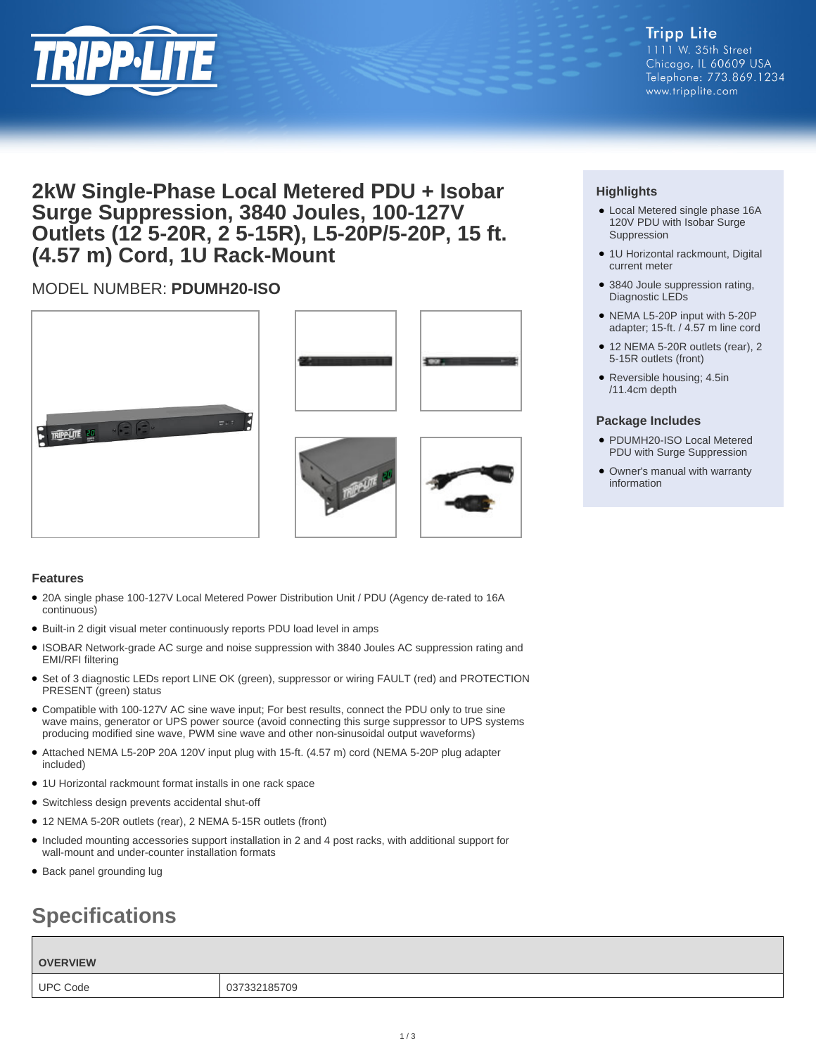

## **2kW Single-Phase Local Metered PDU + Isobar Surge Suppression, 3840 Joules, 100-127V Outlets (12 5-20R, 2 5-15R), L5-20P/5-20P, 15 ft. (4.57 m) Cord, 1U Rack-Mount**

### MODEL NUMBER: **PDUMH20-ISO**









### **Features**

- 20A single phase 100-127V Local Metered Power Distribution Unit / PDU (Agency de-rated to 16A continuous)
- Built-in 2 digit visual meter continuously reports PDU load level in amps
- ISOBAR Network-grade AC surge and noise suppression with 3840 Joules AC suppression rating and EMI/RFI filtering
- Set of 3 diagnostic LEDs report LINE OK (green), suppressor or wiring FAULT (red) and PROTECTION PRESENT (green) status
- Compatible with 100-127V AC sine wave input; For best results, connect the PDU only to true sine wave mains, generator or UPS power source (avoid connecting this surge suppressor to UPS systems producing modified sine wave, PWM sine wave and other non-sinusoidal output waveforms)
- Attached NEMA L5-20P 20A 120V input plug with 15-ft. (4.57 m) cord (NEMA 5-20P plug adapter included)
- 1U Horizontal rackmount format installs in one rack space
- Switchless design prevents accidental shut-off
- 12 NEMA 5-20R outlets (rear), 2 NEMA 5-15R outlets (front)
- Included mounting accessories support installation in 2 and 4 post racks, with additional support for wall-mount and under-counter installation formats
- Back panel grounding lug

# **Specifications**

**OVERVIEW** UPC Code 037332185709

### **Highlights**

- Local Metered single phase 16A 120V PDU with Isobar Surge Suppression
- 1U Horizontal rackmount, Digital current meter
- 3840 Joule suppression rating, Diagnostic LEDs
- NEMA L5-20P input with 5-20P adapter; 15-ft. / 4.57 m line cord
- 12 NEMA 5-20R outlets (rear), 2 5-15R outlets (front)
- Reversible housing; 4.5in /11.4cm depth

#### **Package Includes**

- PDUMH20-ISO Local Metered PDU with Surge Suppression
- Owner's manual with warranty information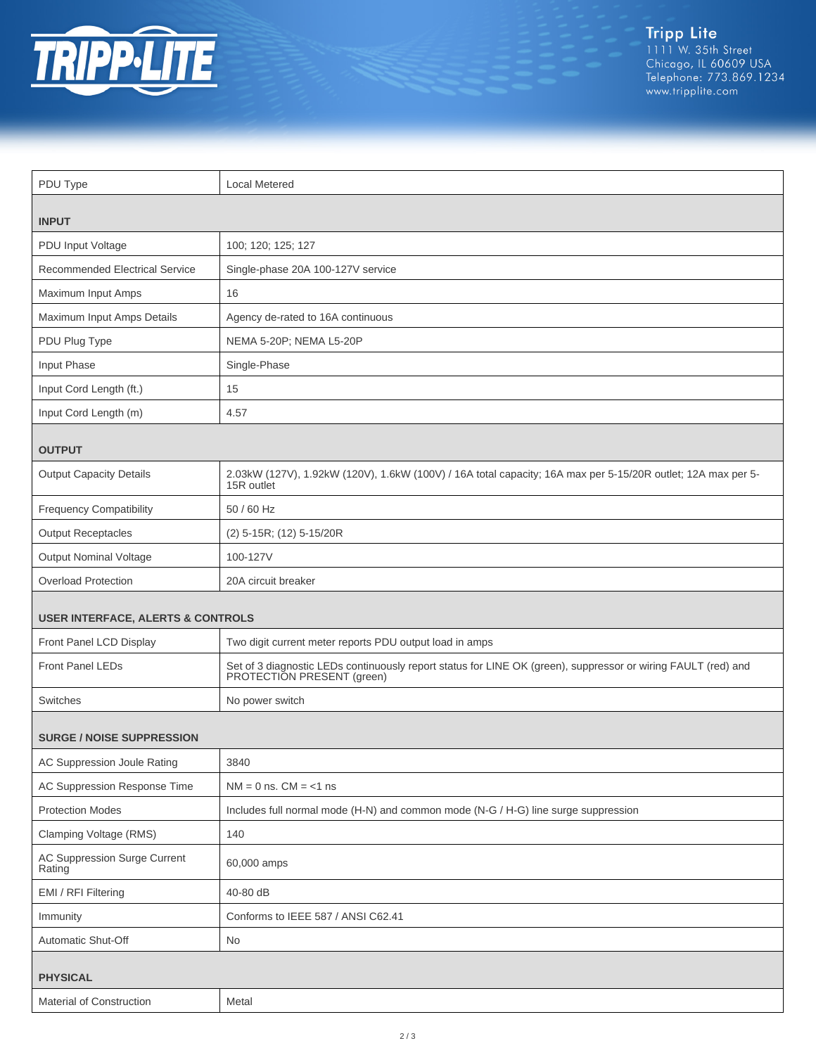

| PDU Type                                     | <b>Local Metered</b>                                                                                                                     |  |
|----------------------------------------------|------------------------------------------------------------------------------------------------------------------------------------------|--|
|                                              |                                                                                                                                          |  |
| <b>INPUT</b>                                 |                                                                                                                                          |  |
| PDU Input Voltage                            | 100; 120; 125; 127                                                                                                                       |  |
| <b>Recommended Electrical Service</b>        | Single-phase 20A 100-127V service                                                                                                        |  |
| Maximum Input Amps                           | 16                                                                                                                                       |  |
| Maximum Input Amps Details                   | Agency de-rated to 16A continuous                                                                                                        |  |
| PDU Plug Type                                | NEMA 5-20P; NEMA L5-20P                                                                                                                  |  |
| Input Phase                                  | Single-Phase                                                                                                                             |  |
| Input Cord Length (ft.)                      | 15                                                                                                                                       |  |
| Input Cord Length (m)                        | 4.57                                                                                                                                     |  |
| <b>OUTPUT</b>                                |                                                                                                                                          |  |
| <b>Output Capacity Details</b>               | 2.03kW (127V), 1.92kW (120V), 1.6kW (100V) / 16A total capacity; 16A max per 5-15/20R outlet; 12A max per 5-<br>15R outlet               |  |
| <b>Frequency Compatibility</b>               | 50 / 60 Hz                                                                                                                               |  |
| <b>Output Receptacles</b>                    | (2) 5-15R; (12) 5-15/20R                                                                                                                 |  |
| <b>Output Nominal Voltage</b>                | 100-127V                                                                                                                                 |  |
| <b>Overload Protection</b>                   | 20A circuit breaker                                                                                                                      |  |
| <b>USER INTERFACE, ALERTS &amp; CONTROLS</b> |                                                                                                                                          |  |
| Front Panel LCD Display                      | Two digit current meter reports PDU output load in amps                                                                                  |  |
| Front Panel LEDs                             | Set of 3 diagnostic LEDs continuously report status for LINE OK (green), suppressor or wiring FAULT (red) and PROTECTION PRESENT (green) |  |
| Switches                                     | No power switch                                                                                                                          |  |
| <b>SURGE / NOISE SUPPRESSION</b>             |                                                                                                                                          |  |
| AC Suppression Joule Rating                  | 3840                                                                                                                                     |  |
| AC Suppression Response Time                 | $NM = 0$ ns. $CM = <1$ ns                                                                                                                |  |
| <b>Protection Modes</b>                      | Includes full normal mode (H-N) and common mode (N-G / H-G) line surge suppression                                                       |  |
| Clamping Voltage (RMS)                       | 140                                                                                                                                      |  |
| AC Suppression Surge Current<br>Rating       | 60,000 amps                                                                                                                              |  |
| EMI / RFI Filtering                          | 40-80 dB                                                                                                                                 |  |
| Immunity                                     | Conforms to IEEE 587 / ANSI C62.41                                                                                                       |  |
| Automatic Shut-Off                           | No                                                                                                                                       |  |
| <b>PHYSICAL</b>                              |                                                                                                                                          |  |
| Material of Construction                     | Metal                                                                                                                                    |  |
|                                              |                                                                                                                                          |  |